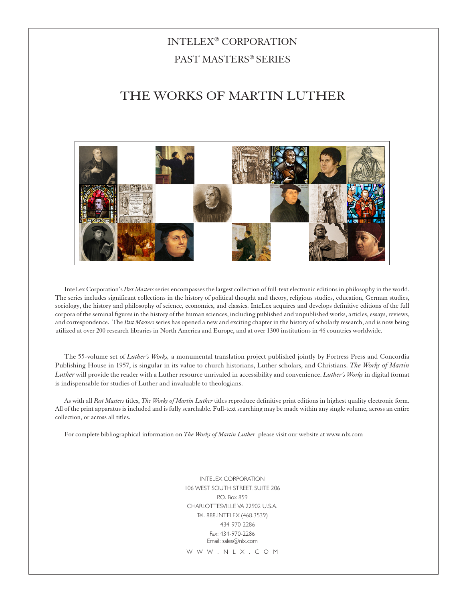# INTELEX® CORPORATION PAST MASTERS® SERIES

## THE WORKS OF MARTIN LUTHER



InteLex Corporation's *Past Masters* series encompasses the largest collection of full-text electronic editions in philosophy in the world. The series includes significant collections in the history of political thought and theory, religious studies, education, German studies, sociology, the history and philosophy of science, economics, and classics. InteLex acquires and develops definitive editions of the full corpora of the seminal figures in the history of the human sciences, including published and unpublished works, articles, essays, reviews, and correspondence. The *Past Masters* series has opened a new and exciting chapter in the history of scholarly research, and is now being utilized at over 200 research libraries in North America and Europe, and at over 1300 institutions in 46 countries worldwide.

The 55-volume set of *Luther's Works,* a monumental translation project published jointly by Fortress Press and Concordia Publishing House in 1957, is singular in its value to church historians, Luther scholars, and Christians. *The Works of Martin Luther* will provide the reader with a Luther resource unrivaled in accessibility and convenience. *Luther's Works* in digital format is indispensable for studies of Luther and invaluable to theologians.

As with all *Past Masters* titles, *The Works of Martin Luther* titles reproduce definitive print editions in highest quality electronic form. All of the print apparatus is included and is fully searchable. Full-text searching may be made within any single volume, across an entire collection, or across all titles.

For complete bibliographical information on *The Works of Martin Luther* please visit our website at www.nlx.com

INTELEX CORPORATION 106 WEST SOUTH STREET, SUITE 206 P.O. Box 859 CHARLOTTESVILLE VA 22902 U.S.A. Tel. 888.INTELEX (468.3539) 434-970-2286 Fax: 434-970-2286 Email: sales@nlx.com

W W W . N L X . C O M